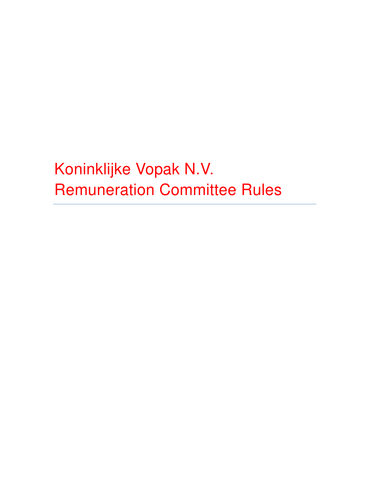Koninklijke Vopak N.V. Remuneration Committee Rules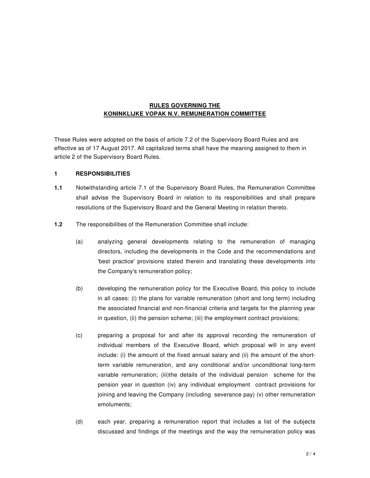## **RULES GOVERNING THE KONINKLIJKE VOPAK N.V. REMUNERATION COMMITTEE**

These Rules were adopted on the basis of article 7.2 of the Supervisory Board Rules and are effective as of 17 August 2017. All capitalized terms shall have the meaning assigned to them in article 2 of the Supervisory Board Rules.

#### **1 RESPONSIBILITIES**

- **1.1** Notwithstanding article 7.1 of the Supervisory Board Rules, the Remuneration Committee shall advise the Supervisory Board in relation to its responsibilities and shall prepare resolutions of the Supervisory Board and the General Meeting in relation thereto.
- **1.2** The responsibilities of the Remuneration Committee shall include:
	- (a) analyzing general developments relating to the remuneration of managing directors, including the developments in the Code and the recommendations and 'best practice' provisions stated therein and translating these developments into the Company's remuneration policy;
	- (b) developing the remuneration policy for the Executive Board, this policy to include in all cases: (i) the plans for variable remuneration (short and long term) including the associated financial and non-financial criteria and targets for the planning year in question, (ii) the pension scheme; (iii) the employment contract provisions;
	- (c) preparing a proposal for and after its approval recording the remuneration of individual members of the Executive Board, which proposal will in any event include: (i) the amount of the fixed annual salary and (ii) the amount of the shortterm variable remuneration, and any conditional and/or unconditional long-term variable remuneration; (iii)the details of the individual pension scheme for the pension year in question (iv) any individual employment contract provisions for joining and leaving the Company (including severance pay) (v) other remuneration emoluments;
	- (d) each year, preparing a remuneration report that includes a list of the subjects discussed and findings of the meetings and the way the remuneration policy was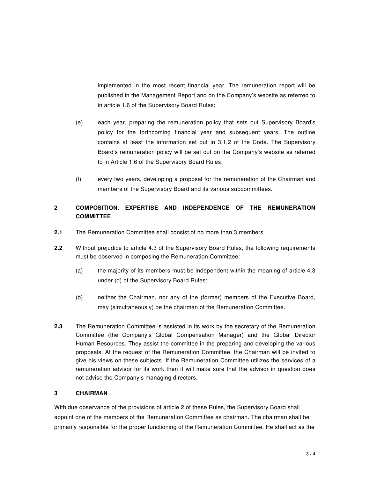implemented in the most recent financial year. The remuneration report will be published in the Management Report and on the Company's website as referred to in article 1.6 of the Supervisory Board Rules;

- (e) each year, preparing the remuneration policy that sets out Supervisory Board's policy for the forthcoming financial year and subsequent years. The outline contains at least the information set out in 3.1.2 of the Code. The Supervisory Board's remuneration policy will be set out on the Company's website as referred to in Article 1.6 of the Supervisory Board Rules;
- (f) every two years, developing a proposal for the remuneration of the Chairman and members of the Supervisory Board and its various subcommittees.

# **2 COMPOSITION, EXPERTISE AND INDEPENDENCE OF THE REMUNERATION COMMITTEE**

- **2.1** The Remuneration Committee shall consist of no more than 3 members.
- **2.2** Without prejudice to article 4.3 of the Supervisory Board Rules, the following requirements must be observed in composing the Remuneration Committee:
	- (a) the majority of its members must be independent within the meaning of article 4.3 under (d) of the Supervisory Board Rules;
	- (b) neither the Chairman, nor any of the (former) members of the Executive Board, may (simultaneously) be the chairman of the Remuneration Committee.
- **2.3** The Remuneration Committee is assisted in its work by the secretary of the Remuneration Committee (the Company's Global Compensation Manager) and the Global Director Human Resources. They assist the committee in the preparing and developing the various proposals. At the request of the Remuneration Committee, the Chairman will be invited to give his views on these subjects. If the Remuneration Committee utilizes the services of a remuneration advisor for its work then it will make sure that the advisor in question does not advise the Company's managing directors.

## **3 CHAIRMAN**

With due observance of the provisions of article 2 of these Rules, the Supervisory Board shall appoint one of the members of the Remuneration Committee as chairman. The chairman shall be primarily responsible for the proper functioning of the Remuneration Committee. He shall act as the